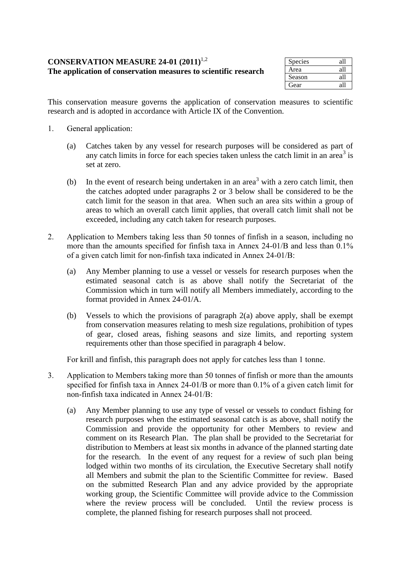# **CONSERVATION MEASURE 24-01 (2011)** 1,2 **The application of conservation measures to scientific research**

| Species | all |
|---------|-----|
| Area    | all |
| Season  | all |
| Gear    | яI  |

This conservation measure governs the application of conservation measures to scientific research and is adopted in accordance with Article IX of the Convention.

- 1. General application:
	- (a) Catches taken by any vessel for research purposes will be considered as part of any catch limits in force for each species taken unless the catch limit in an area<sup>3</sup> is set at zero.
	- (b) In the event of research being undertaken in an area<sup>3</sup> with a zero catch limit, then the catches adopted under paragraphs 2 or 3 below shall be considered to be the catch limit for the season in that area. When such an area sits within a group of areas to which an overall catch limit applies, that overall catch limit shall not be exceeded, including any catch taken for research purposes.
- 2. Application to Members taking less than 50 tonnes of finfish in a season, including no more than the amounts specified for finfish taxa in Annex 24-01/B and less than 0.1% of a given catch limit for non-finfish taxa indicated in Annex 24-01/B:
	- (a) Any Member planning to use a vessel or vessels for research purposes when the estimated seasonal catch is as above shall notify the Secretariat of the Commission which in turn will notify all Members immediately, according to the format provided in Annex 24-01/A.
	- (b) Vessels to which the provisions of paragraph 2(a) above apply, shall be exempt from conservation measures relating to mesh size regulations, prohibition of types of gear, closed areas, fishing seasons and size limits, and reporting system requirements other than those specified in paragraph 4 below.

For krill and finfish, this paragraph does not apply for catches less than 1 tonne.

- 3. Application to Members taking more than 50 tonnes of finfish or more than the amounts specified for finfish taxa in Annex 24-01/B or more than 0.1% of a given catch limit for non-finfish taxa indicated in Annex 24-01/B:
	- (a) Any Member planning to use any type of vessel or vessels to conduct fishing for research purposes when the estimated seasonal catch is as above, shall notify the Commission and provide the opportunity for other Members to review and comment on its Research Plan. The plan shall be provided to the Secretariat for distribution to Members at least six months in advance of the planned starting date for the research. In the event of any request for a review of such plan being lodged within two months of its circulation, the Executive Secretary shall notify all Members and submit the plan to the Scientific Committee for review. Based on the submitted Research Plan and any advice provided by the appropriate working group, the Scientific Committee will provide advice to the Commission where the review process will be concluded. Until the review process is complete, the planned fishing for research purposes shall not proceed.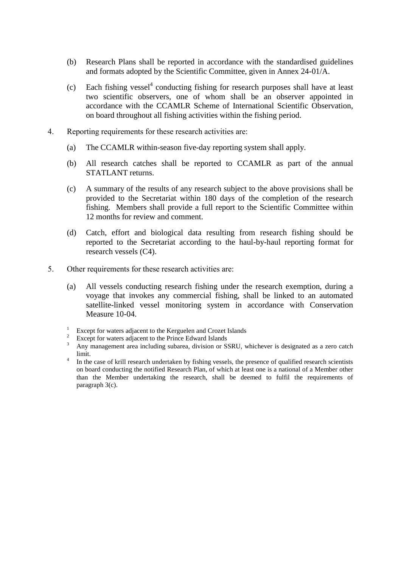- (b) Research Plans shall be reported in accordance with the standardised guidelines and formats adopted by the Scientific Committee, given in Annex 24-01/A.
- $(c)$  Each fishing vessel<sup>4</sup> conducting fishing for research purposes shall have at least two scientific observers, one of whom shall be an observer appointed in accordance with the CCAMLR Scheme of International Scientific Observation, on board throughout all fishing activities within the fishing period.
- 4. Reporting requirements for these research activities are:
	- (a) The CCAMLR within-season five-day reporting system shall apply.
	- (b) All research catches shall be reported to CCAMLR as part of the annual STATLANT returns.
	- (c) A summary of the results of any research subject to the above provisions shall be provided to the Secretariat within 180 days of the completion of the research fishing. Members shall provide a full report to the Scientific Committee within 12 months for review and comment.
	- (d) Catch, effort and biological data resulting from research fishing should be reported to the Secretariat according to the haul-by-haul reporting format for research vessels (C4).
- 5. Other requirements for these research activities are:
	- (a) All vessels conducting research fishing under the research exemption, during a voyage that invokes any commercial fishing, shall be linked to an automated satellite-linked vessel monitoring system in accordance with Conservation Measure 10-04.
	- Except for waters adjacent to the Kerguelen and Crozet Islands
	- Except for waters adjacent to the Prince Edward Islands
	- <sup>3</sup> Any management area including subarea, division or SSRU, whichever is designated as a zero catch limit.
	- 4 In the case of krill research undertaken by fishing vessels, the presence of qualified research scientists on board conducting the notified Research Plan, of which at least one is a national of a Member other than the Member undertaking the research, shall be deemed to fulfil the requirements of paragraph 3(c).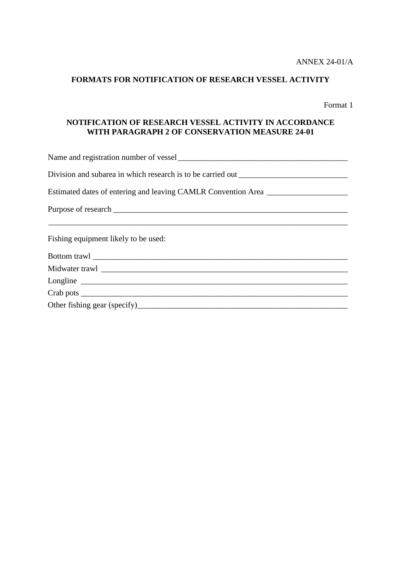# **FORMATS FOR NOTIFICATION OF RESEARCH VESSEL ACTIVITY**

Format 1

#### **NOTIFICATION OF RESEARCH VESSEL ACTIVITY IN ACCORDANCE WITH PARAGRAPH 2 OF CONSERVATION MEASURE 24-01**

| Estimated dates of entering and leaving CAMLR Convention Area __________________ |
|----------------------------------------------------------------------------------|
|                                                                                  |
| Fishing equipment likely to be used:                                             |
|                                                                                  |
|                                                                                  |
|                                                                                  |
|                                                                                  |
| Crab pots                                                                        |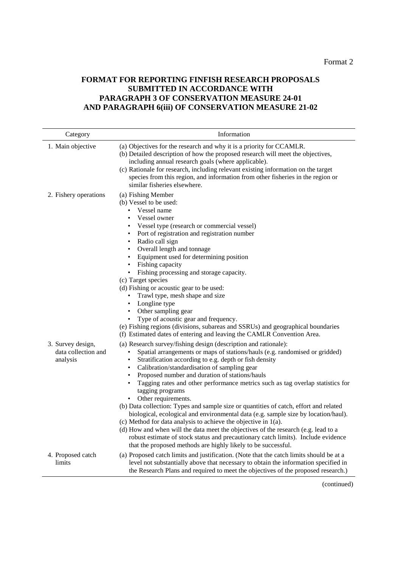### **FORMAT FOR REPORTING FINFISH RESEARCH PROPOSALS SUBMITTED IN ACCORDANCE WITH PARAGRAPH 3 OF CONSERVATION MEASURE 24-01 AND PARAGRAPH 6(iii) OF CONSERVATION MEASURE 21-02**

| Category                                             | Information                                                                                                                                                                                                                                                                                                                                                                                                                                                                                                                                                                                                                                                                                                                                                                                                                                                                                                                                                      |
|------------------------------------------------------|------------------------------------------------------------------------------------------------------------------------------------------------------------------------------------------------------------------------------------------------------------------------------------------------------------------------------------------------------------------------------------------------------------------------------------------------------------------------------------------------------------------------------------------------------------------------------------------------------------------------------------------------------------------------------------------------------------------------------------------------------------------------------------------------------------------------------------------------------------------------------------------------------------------------------------------------------------------|
| 1. Main objective                                    | (a) Objectives for the research and why it is a priority for CCAMLR.<br>(b) Detailed description of how the proposed research will meet the objectives,<br>including annual research goals (where applicable).<br>(c) Rationale for research, including relevant existing information on the target<br>species from this region, and information from other fisheries in the region or<br>similar fisheries elsewhere.                                                                                                                                                                                                                                                                                                                                                                                                                                                                                                                                           |
| 2. Fishery operations                                | (a) Fishing Member<br>(b) Vessel to be used:<br>Vessel name<br>$\bullet$<br>Vessel owner<br>$\bullet$<br>Vessel type (research or commercial vessel)<br>Port of registration and registration number<br>Radio call sign<br>$\bullet$<br>Overall length and tonnage<br>$\bullet$<br>Equipment used for determining position<br>Fishing capacity<br>$\bullet$<br>Fishing processing and storage capacity.<br>$\bullet$<br>(c) Target species<br>(d) Fishing or acoustic gear to be used:<br>Trawl type, mesh shape and size<br>Longline type<br>Other sampling gear<br>$\bullet$<br>Type of acoustic gear and frequency.<br>(e) Fishing regions (divisions, subareas and SSRUs) and geographical boundaries<br>(f) Estimated dates of entering and leaving the CAMLR Convention Area.                                                                                                                                                                              |
| 3. Survey design,<br>data collection and<br>analysis | (a) Research survey/fishing design (description and rationale):<br>Spatial arrangements or maps of stations/hauls (e.g. randomised or gridded)<br>$\bullet$<br>Stratification according to e.g. depth or fish density<br>Calibration/standardisation of sampling gear<br>Proposed number and duration of stations/hauls<br>$\bullet$<br>Tagging rates and other performance metrics such as tag overlap statistics for<br>tagging programs<br>• Other requirements.<br>(b) Data collection: Types and sample size or quantities of catch, effort and related<br>biological, ecological and environmental data (e.g. sample size by location/haul).<br>(c) Method for data analysis to achieve the objective in 1(a).<br>(d) How and when will the data meet the objectives of the research (e.g. lead to a<br>robust estimate of stock status and precautionary catch limits). Include evidence<br>that the proposed methods are highly likely to be successful. |
| 4. Proposed catch<br>limits                          | (a) Proposed catch limits and justification. (Note that the catch limits should be at a<br>level not substantially above that necessary to obtain the information specified in<br>the Research Plans and required to meet the objectives of the proposed research.)                                                                                                                                                                                                                                                                                                                                                                                                                                                                                                                                                                                                                                                                                              |

(continued)